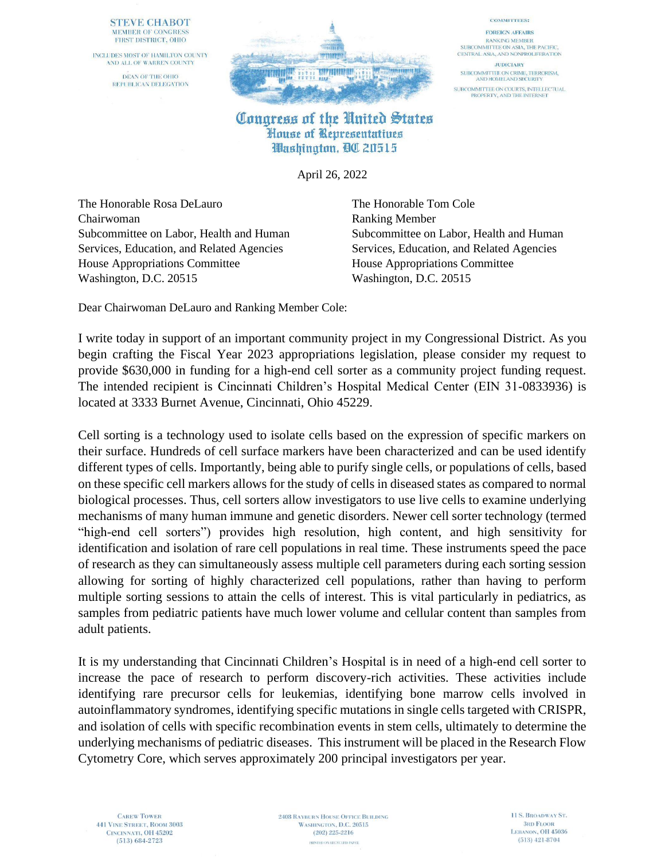## **STEVE CHABOT** MEMBER OF CONGRESS FIRST DISTRICT, OHIO

INCLUDES MOST OF HAMILTON COUNTY AND ALL OF WARREN COUNTY DEAN OF THE OHIO REPUBLICAN DELEGATION



## Congress of the United States House of Representatives Washington, BC 20515

April 26, 2022

The Honorable Rosa DeLauro The Honorable Tom Cole Chairwoman Ranking Member Services, Education, and Related Agencies Services, Education, and Related Agencies House Appropriations Committee House Appropriations Committee Washington, D.C. 20515 Washington, D.C. 20515

Subcommittee on Labor, Health and Human Subcommittee on Labor, Health and Human

**COMMITTEES:** 

**FOREIGN AFFAIRS** 

**RANKING MEMBER** SUBCOMMITTEE ON ASIA, THE PACIFIC, CENTRAL ASIA, AND NONPROLIFERATION

**JUDICIARY** 

SUBCOMMITTEE ON CRIME, TERRORISM,<br>AND HOMELAND SECURITY

SUBCOMMITTEE ON COURTS, INTELLECTUAL<br>PROPERTY, AND THE INTERNET

Dear Chairwoman DeLauro and Ranking Member Cole:

I write today in support of an important community project in my Congressional District. As you begin crafting the Fiscal Year 2023 appropriations legislation, please consider my request to provide \$630,000 in funding for a high-end cell sorter as a community project funding request. The intended recipient is Cincinnati Children's Hospital Medical Center (EIN 31-0833936) is located at 3333 Burnet Avenue, Cincinnati, Ohio 45229.

Cell sorting is a technology used to isolate cells based on the expression of specific markers on their surface. Hundreds of cell surface markers have been characterized and can be used identify different types of cells. Importantly, being able to purify single cells, or populations of cells, based on these specific cell markers allows for the study of cells in diseased states as compared to normal biological processes. Thus, cell sorters allow investigators to use live cells to examine underlying mechanisms of many human immune and genetic disorders. Newer cell sorter technology (termed "high-end cell sorters") provides high resolution, high content, and high sensitivity for identification and isolation of rare cell populations in real time. These instruments speed the pace of research as they can simultaneously assess multiple cell parameters during each sorting session allowing for sorting of highly characterized cell populations, rather than having to perform multiple sorting sessions to attain the cells of interest. This is vital particularly in pediatrics, as samples from pediatric patients have much lower volume and cellular content than samples from adult patients.

It is my understanding that Cincinnati Children's Hospital is in need of a high-end cell sorter to increase the pace of research to perform discovery-rich activities. These activities include identifying rare precursor cells for leukemias, identifying bone marrow cells involved in autoinflammatory syndromes, identifying specific mutations in single cells targeted with CRISPR, and isolation of cells with specific recombination events in stem cells, ultimately to determine the underlying mechanisms of pediatric diseases. This instrument will be placed in the Research Flow Cytometry Core, which serves approximately 200 principal investigators per year.

**2408 RAYBURN HOUSE OFFICE BUILDING** WASHINGTON, D.C. 20515  $(202)$  225-2216 PRINTED ON RECYCLED PAPER.

11 S. BROADWAY ST. **3RD FLOOR** LEBANON, OH 45036  $(513)$  421-8704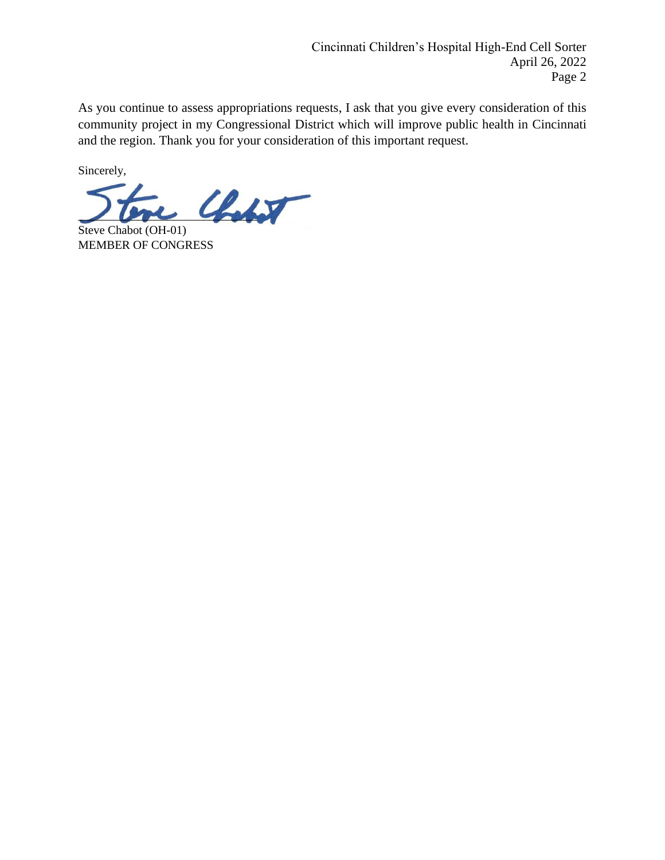As you continue to assess appropriations requests, I ask that you give every consideration of this community project in my Congressional District which will improve public health in Cincinnati and the region. Thank you for your consideration of this important request.

Sincerely,

 $\mathcal{L}_{\text{label}}$ 

Steve Chabot (OH-01) MEMBER OF CONGRESS